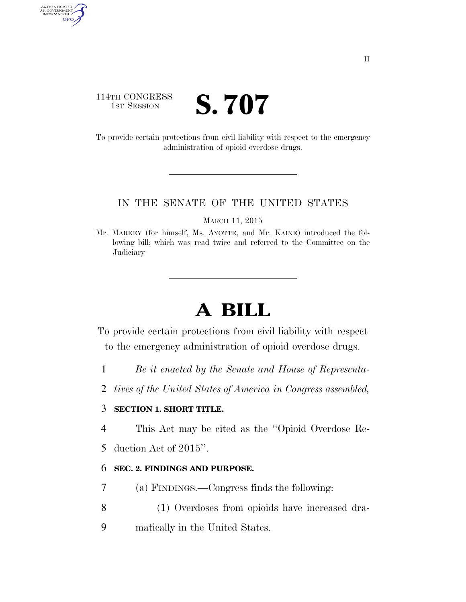### 114TH CONGRESS **1ST SESSION S. 707**

AUTHENTICATED<br>U.S. GOVERNMENT<br>INFORMATION GPO

> To provide certain protections from civil liability with respect to the emergency administration of opioid overdose drugs.

#### IN THE SENATE OF THE UNITED STATES

MARCH 11, 2015

Mr. MARKEY (for himself, Ms. AYOTTE, and Mr. KAINE) introduced the following bill; which was read twice and referred to the Committee on the **Judiciary** 

# **A BILL**

To provide certain protections from civil liability with respect to the emergency administration of opioid overdose drugs.

- 1 *Be it enacted by the Senate and House of Representa-*
- 2 *tives of the United States of America in Congress assembled,*

#### 3 **SECTION 1. SHORT TITLE.**

4 This Act may be cited as the ''Opioid Overdose Re-

5 duction Act of 2015''.

#### 6 **SEC. 2. FINDINGS AND PURPOSE.**

- 7 (a) FINDINGS.—Congress finds the following:
- 8 (1) Overdoses from opioids have increased dra-
- 9 matically in the United States.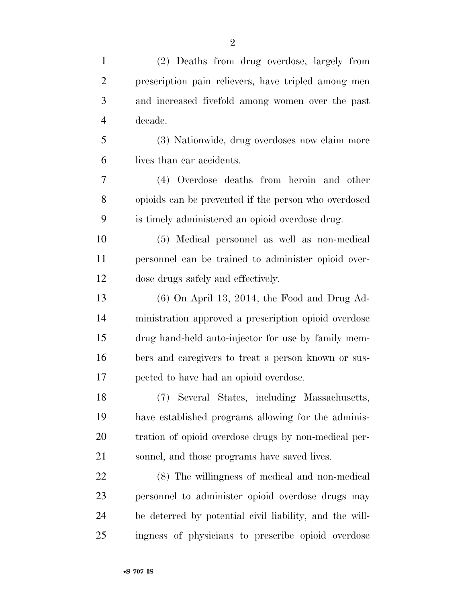| $\mathbf{1}$   | (2) Deaths from drug overdose, largely from             |
|----------------|---------------------------------------------------------|
| $\overline{2}$ | prescription pain relievers, have tripled among men     |
| 3              | and increased fivefold among women over the past        |
| $\overline{4}$ | decade.                                                 |
| 5              | (3) Nationwide, drug overdoses now claim more           |
| 6              | lives than car accidents.                               |
| 7              | (4) Overdose deaths from heroin and other               |
| 8              | opioids can be prevented if the person who overdosed    |
| 9              | is timely administered an opioid overdose drug.         |
| 10             | (5) Medical personnel as well as non-medical            |
| 11             | personnel can be trained to administer opioid over-     |
| 12             | dose drugs safely and effectively.                      |
| 13             | $(6)$ On April 13, 2014, the Food and Drug Ad-          |
| 14             | ministration approved a prescription opioid overdose    |
| 15             | drug hand-held auto-injector for use by family mem-     |
| 16             | bers and caregivers to treat a person known or sus-     |
| 17             | pected to have had an opioid overdose.                  |
| 18             | (7) Several States, including Massachusetts,            |
| 19             | have established programs allowing for the adminis-     |
| 20             | tration of opioid overdose drugs by non-medical per-    |
| 21             | sonnel, and those programs have saved lives.            |
| 22             | (8) The willingness of medical and non-medical          |
| 23             | personnel to administer opioid overdose drugs may       |
| 24             | be deterred by potential civil liability, and the will- |
| 25             | ingness of physicians to prescribe opioid overdose      |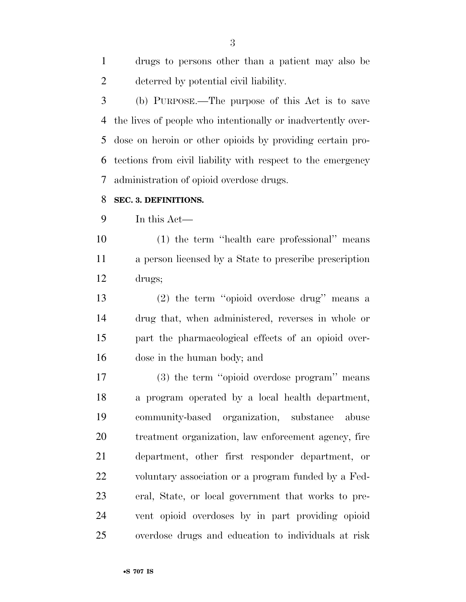| drugs to persons other than a patient may also be |
|---------------------------------------------------|
| deterred by potential civil liability.            |

 (b) PURPOSE.—The purpose of this Act is to save the lives of people who intentionally or inadvertently over- dose on heroin or other opioids by providing certain pro- tections from civil liability with respect to the emergency administration of opioid overdose drugs.

#### **SEC. 3. DEFINITIONS.**

In this Act—

 (1) the term ''health care professional'' means a person licensed by a State to prescribe prescription drugs;

 (2) the term ''opioid overdose drug'' means a drug that, when administered, reverses in whole or part the pharmacological effects of an opioid over-dose in the human body; and

 (3) the term ''opioid overdose program'' means a program operated by a local health department, community-based organization, substance abuse treatment organization, law enforcement agency, fire department, other first responder department, or voluntary association or a program funded by a Fed- eral, State, or local government that works to pre- vent opioid overdoses by in part providing opioid overdose drugs and education to individuals at risk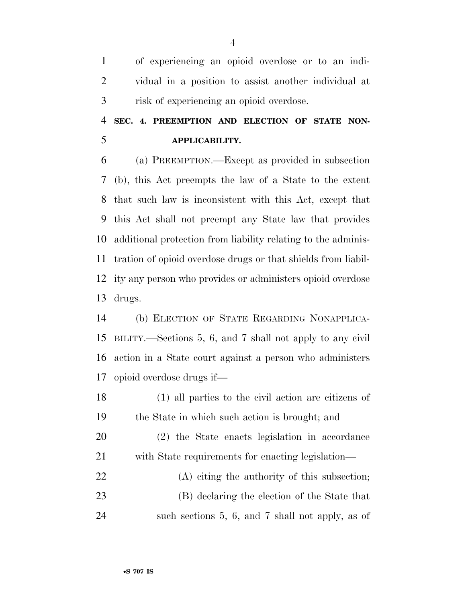of experiencing an opioid overdose or to an indi- vidual in a position to assist another individual at risk of experiencing an opioid overdose.

## **SEC. 4. PREEMPTION AND ELECTION OF STATE NON-APPLICABILITY.**

 (a) PREEMPTION.—Except as provided in subsection (b), this Act preempts the law of a State to the extent that such law is inconsistent with this Act, except that this Act shall not preempt any State law that provides additional protection from liability relating to the adminis- tration of opioid overdose drugs or that shields from liabil- ity any person who provides or administers opioid overdose drugs.

 (b) ELECTION OF STATE REGARDING NONAPPLICA- BILITY.—Sections 5, 6, and 7 shall not apply to any civil action in a State court against a person who administers opioid overdose drugs if—

 (1) all parties to the civil action are citizens of the State in which such action is brought; and

 (2) the State enacts legislation in accordance with State requirements for enacting legislation—

 (A) citing the authority of this subsection; (B) declaring the election of the State that such sections 5, 6, and 7 shall not apply, as of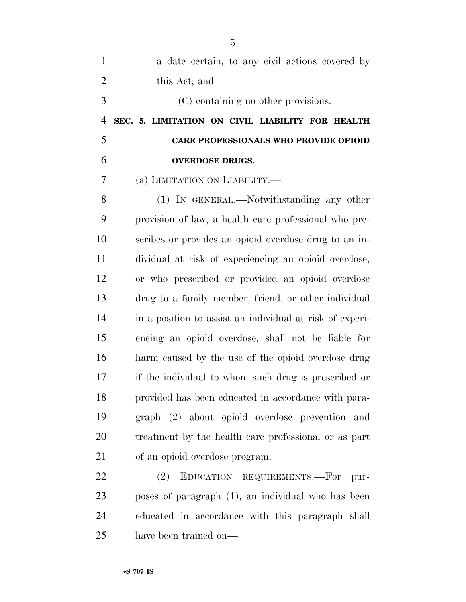| $\mathbf{1}$   | a date certain, to any civil actions covered by          |
|----------------|----------------------------------------------------------|
| $\overline{2}$ | this Act; and                                            |
| 3              | (C) containing no other provisions.                      |
| $\overline{4}$ | SEC. 5. LIMITATION ON CIVIL LIABILITY FOR HEALTH         |
| 5              | <b>CARE PROFESSIONALS WHO PROVIDE OPIOID</b>             |
| 6              | <b>OVERDOSE DRUGS.</b>                                   |
| 7              | (a) LIMITATION ON LIABILITY.—                            |
| 8              | (1) IN GENERAL.—Notwithstanding any other                |
| 9              | provision of law, a health care professional who pre-    |
| 10             | scribes or provides an opioid overdose drug to an in-    |
| 11             | dividual at risk of experiencing an opioid overdose,     |
| 12             | or who prescribed or provided an opioid overdose         |
| 13             | drug to a family member, friend, or other individual     |
| 14             | in a position to assist an individual at risk of experi- |
| 15             | encing an opioid overdose, shall not be liable for       |
| 16             | harm caused by the use of the opioid overdose drug       |
| 17             | if the individual to whom such drug is prescribed or     |
| 18             | provided has been educated in accordance with para-      |
| 19             | graph (2) about opioid overdose prevention and           |
| 20             | treatment by the health care professional or as part     |
| 21             | of an opioid overdose program.                           |
| 22             | EDUCATION REQUIREMENTS.-For pur-<br>(2)                  |
| 23             | poses of paragraph (1), an individual who has been       |
|                |                                                          |

 educated in accordance with this paragraph shall have been trained on—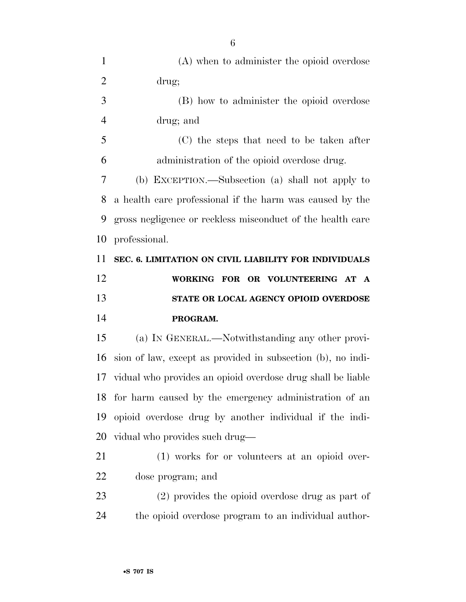| $\mathbf{1}$   | (A) when to administer the opioid overdose                     |
|----------------|----------------------------------------------------------------|
| $\overline{2}$ | drug;                                                          |
| 3              | (B) how to administer the opioid overdose                      |
| $\overline{4}$ | drug; and                                                      |
| 5              | (C) the steps that need to be taken after                      |
| 6              | administration of the opioid overdose drug.                    |
| 7              | (b) EXCEPTION.—Subsection (a) shall not apply to               |
| 8              | a health care professional if the harm was caused by the       |
| 9              | gross negligence or reckless misconduct of the health care     |
| 10             | professional.                                                  |
| 11             | SEC. 6. LIMITATION ON CIVIL LIABILITY FOR INDIVIDUALS          |
| 12             | WORKING FOR OR VOLUNTEERING AT A                               |
|                |                                                                |
|                | STATE OR LOCAL AGENCY OPIOID OVERDOSE                          |
| 13<br>14       | PROGRAM.                                                       |
| 15             | (a) IN GENERAL.—Notwithstanding any other provi-               |
| 16             | sion of law, except as provided in subsection (b), no indi-    |
|                | 17 vidual who provides an opioid overdose drug shall be liable |
|                | 18 for harm caused by the emergency administration of an       |
| 19             | opioid overdose drug by another individual if the indi-        |
| 20             | vidual who provides such drug—                                 |
| 21             | (1) works for or volunteers at an opioid over-                 |
| 22             | dose program; and                                              |
| 23             | (2) provides the opioid overdose drug as part of               |
| 24             | the opioid overdose program to an individual author-           |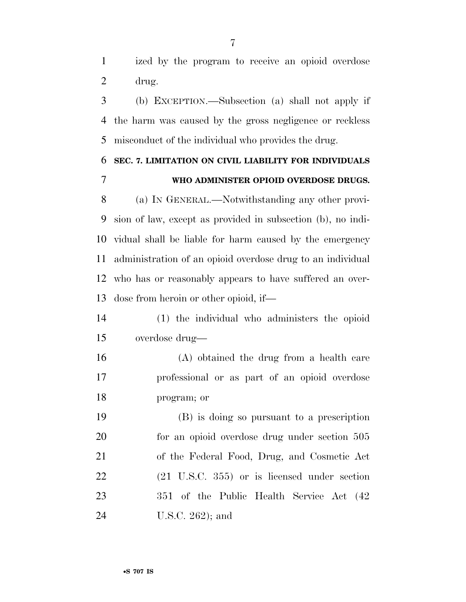ized by the program to receive an opioid overdose drug.

 (b) EXCEPTION.—Subsection (a) shall not apply if the harm was caused by the gross negligence or reckless misconduct of the individual who provides the drug.

## **SEC. 7. LIMITATION ON CIVIL LIABILITY FOR INDIVIDUALS WHO ADMINISTER OPIOID OVERDOSE DRUGS.**

 (a) IN GENERAL.—Notwithstanding any other provi- sion of law, except as provided in subsection (b), no indi- vidual shall be liable for harm caused by the emergency administration of an opioid overdose drug to an individual who has or reasonably appears to have suffered an over-dose from heroin or other opioid, if—

 (1) the individual who administers the opioid overdose drug—

 (A) obtained the drug from a health care professional or as part of an opioid overdose program; or

 (B) is doing so pursuant to a prescription for an opioid overdose drug under section 505 of the Federal Food, Drug, and Cosmetic Act (21 U.S.C. 355) or is licensed under section 351 of the Public Health Service Act (42 U.S.C. 262); and